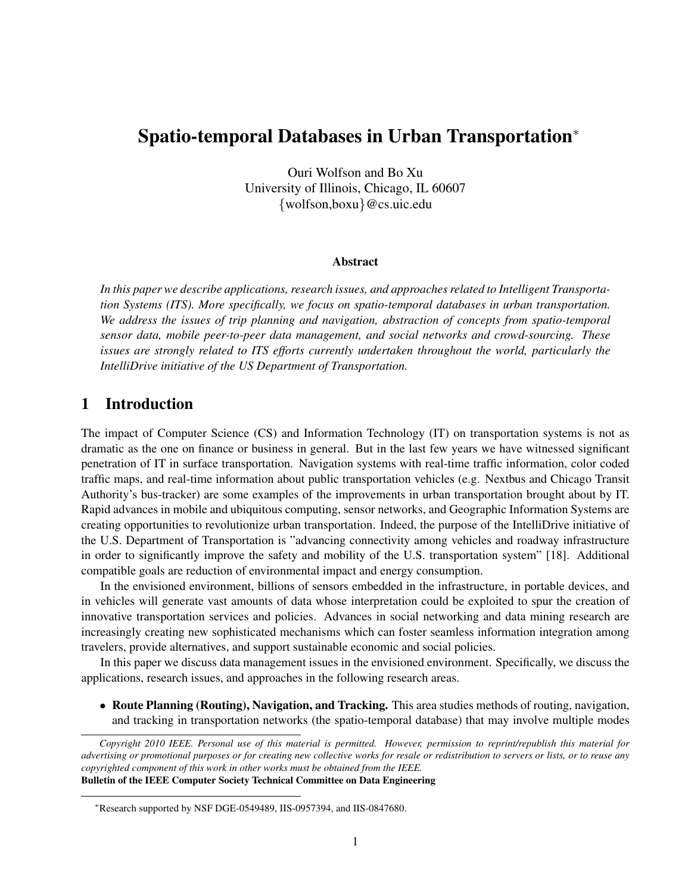# Spatio-temporal Databases in Urban Transportation*<sup>∗</sup>*

Ouri Wolfson and Bo Xu University of Illinois, Chicago, IL 60607 *{*wolfson,boxu*}*@cs.uic.edu

#### Abstract

*In this paper we describe applications, research issues, and approaches related to Intelligent Transportation Systems (ITS). More specifically, we focus on spatio-temporal databases in urban transportation. We address the issues of trip planning and navigation, abstraction of concepts from spatio-temporal sensor data, mobile peer-to-peer data management, and social networks and crowd-sourcing. These issues are strongly related to ITS efforts currently undertaken throughout the world, particularly the IntelliDrive initiative of the US Department of Transportation.*

### 1 Introduction

The impact of Computer Science (CS) and Information Technology (IT) on transportation systems is not as dramatic as the one on finance or business in general. But in the last few years we have witnessed significant penetration of IT in surface transportation. Navigation systems with real-time traffic information, color coded traffic maps, and real-time information about public transportation vehicles (e.g. Nextbus and Chicago Transit Authority's bus-tracker) are some examples of the improvements in urban transportation brought about by IT. Rapid advances in mobile and ubiquitous computing, sensor networks, and Geographic Information Systems are creating opportunities to revolutionize urban transportation. Indeed, the purpose of the IntelliDrive initiative of the U.S. Department of Transportation is "advancing connectivity among vehicles and roadway infrastructure in order to significantly improve the safety and mobility of the U.S. transportation system" [18]. Additional compatible goals are reduction of environmental impact and energy consumption.

In the envisioned environment, billions of sensors embedded in the infrastructure, in portable devices, and in vehicles will generate vast amounts of data whose interpretation could be exploited to spur the creation of innovative transportation services and policies. Advances in social networking and data mining research are increasingly creating new sophisticated mechanisms which can foster seamless information integration among travelers, provide alternatives, and support sustainable economic and social policies.

In this paper we discuss data management issues in the envisioned environment. Specifically, we discuss the applications, research issues, and approaches in the following research areas.

• Route Planning (Routing), Navigation, and Tracking. This area studies methods of routing, navigation, and tracking in transportation networks (the spatio-temporal database) that may involve multiple modes

*Copyright 2010 IEEE. Personal use of this material is permitted. However, permission to reprint/republish this material for advertising or promotional purposes or for creating new collective works for resale or redistribution to servers or lists, or to reuse any copyrighted component of this work in other works must be obtained from the IEEE.* Bulletin of the IEEE Computer Society Technical Committee on Data Engineering

*<sup>∗</sup>*Research supported by NSF DGE-0549489, IIS-0957394, and IIS-0847680.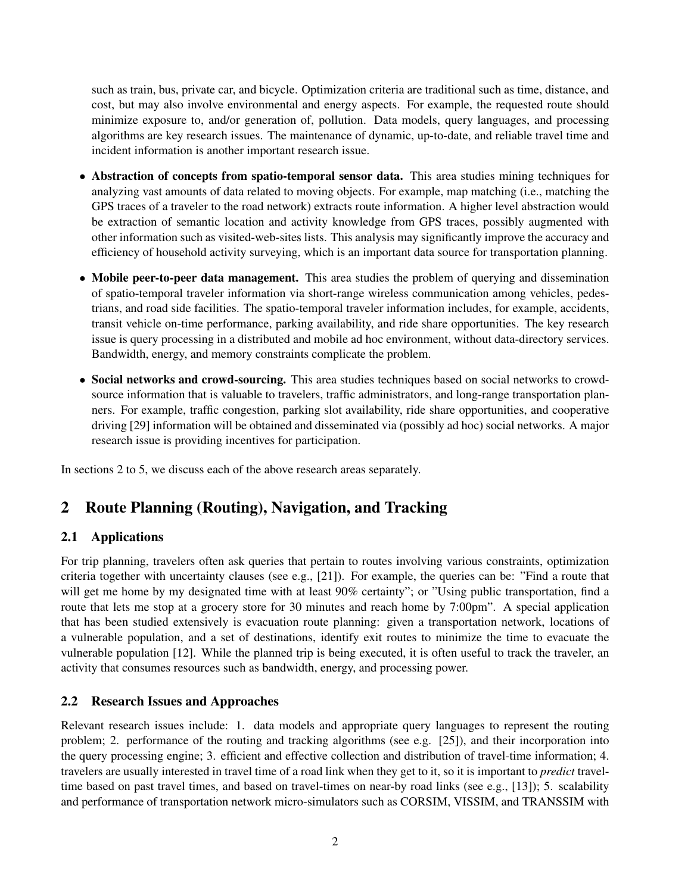such as train, bus, private car, and bicycle. Optimization criteria are traditional such as time, distance, and cost, but may also involve environmental and energy aspects. For example, the requested route should minimize exposure to, and/or generation of, pollution. Data models, query languages, and processing algorithms are key research issues. The maintenance of dynamic, up-to-date, and reliable travel time and incident information is another important research issue.

- Abstraction of concepts from spatio-temporal sensor data. This area studies mining techniques for analyzing vast amounts of data related to moving objects. For example, map matching (i.e., matching the GPS traces of a traveler to the road network) extracts route information. A higher level abstraction would be extraction of semantic location and activity knowledge from GPS traces, possibly augmented with other information such as visited-web-sites lists. This analysis may significantly improve the accuracy and efficiency of household activity surveying, which is an important data source for transportation planning.
- Mobile peer-to-peer data management. This area studies the problem of querying and dissemination of spatio-temporal traveler information via short-range wireless communication among vehicles, pedestrians, and road side facilities. The spatio-temporal traveler information includes, for example, accidents, transit vehicle on-time performance, parking availability, and ride share opportunities. The key research issue is query processing in a distributed and mobile ad hoc environment, without data-directory services. Bandwidth, energy, and memory constraints complicate the problem.
- Social networks and crowd-sourcing. This area studies techniques based on social networks to crowdsource information that is valuable to travelers, traffic administrators, and long-range transportation planners. For example, traffic congestion, parking slot availability, ride share opportunities, and cooperative driving [29] information will be obtained and disseminated via (possibly ad hoc) social networks. A major research issue is providing incentives for participation.

In sections 2 to 5, we discuss each of the above research areas separately.

## 2 Route Planning (Routing), Navigation, and Tracking

### 2.1 Applications

For trip planning, travelers often ask queries that pertain to routes involving various constraints, optimization criteria together with uncertainty clauses (see e.g., [21]). For example, the queries can be: "Find a route that will get me home by my designated time with at least 90% certainty"; or "Using public transportation, find a route that lets me stop at a grocery store for 30 minutes and reach home by 7:00pm". A special application that has been studied extensively is evacuation route planning: given a transportation network, locations of a vulnerable population, and a set of destinations, identify exit routes to minimize the time to evacuate the vulnerable population [12]. While the planned trip is being executed, it is often useful to track the traveler, an activity that consumes resources such as bandwidth, energy, and processing power.

### 2.2 Research Issues and Approaches

Relevant research issues include: 1. data models and appropriate query languages to represent the routing problem; 2. performance of the routing and tracking algorithms (see e.g. [25]), and their incorporation into the query processing engine; 3. efficient and effective collection and distribution of travel-time information; 4. travelers are usually interested in travel time of a road link when they get to it, so it is important to *predict* traveltime based on past travel times, and based on travel-times on near-by road links (see e.g., [13]); 5. scalability and performance of transportation network micro-simulators such as CORSIM, VISSIM, and TRANSSIM with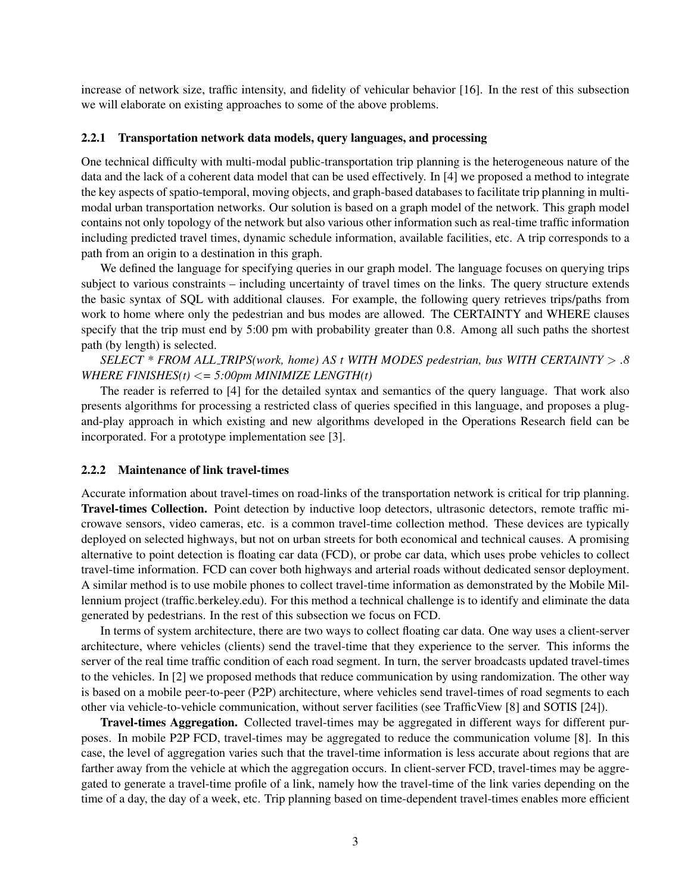increase of network size, traffic intensity, and fidelity of vehicular behavior [16]. In the rest of this subsection we will elaborate on existing approaches to some of the above problems.

#### 2.2.1 Transportation network data models, query languages, and processing

One technical difficulty with multi-modal public-transportation trip planning is the heterogeneous nature of the data and the lack of a coherent data model that can be used effectively. In [4] we proposed a method to integrate the key aspects of spatio-temporal, moving objects, and graph-based databases to facilitate trip planning in multimodal urban transportation networks. Our solution is based on a graph model of the network. This graph model contains not only topology of the network but also various other information such as real-time traffic information including predicted travel times, dynamic schedule information, available facilities, etc. A trip corresponds to a path from an origin to a destination in this graph.

We defined the language for specifying queries in our graph model. The language focuses on querying trips subject to various constraints – including uncertainty of travel times on the links. The query structure extends the basic syntax of SQL with additional clauses. For example, the following query retrieves trips/paths from work to home where only the pedestrian and bus modes are allowed. The CERTAINTY and WHERE clauses specify that the trip must end by 5:00 pm with probability greater than 0.8. Among all such paths the shortest path (by length) is selected.

*SELECT \* FROM ALL TRIPS(work, home) AS t WITH MODES pedestrian, bus WITH CERTAINTY > .8 WHERE FINISHES(t) <= 5:00pm MINIMIZE LENGTH(t)*

The reader is referred to [4] for the detailed syntax and semantics of the query language. That work also presents algorithms for processing a restricted class of queries specified in this language, and proposes a plugand-play approach in which existing and new algorithms developed in the Operations Research field can be incorporated. For a prototype implementation see [3].

#### 2.2.2 Maintenance of link travel-times

Accurate information about travel-times on road-links of the transportation network is critical for trip planning. Travel-times Collection. Point detection by inductive loop detectors, ultrasonic detectors, remote traffic microwave sensors, video cameras, etc. is a common travel-time collection method. These devices are typically deployed on selected highways, but not on urban streets for both economical and technical causes. A promising alternative to point detection is floating car data (FCD), or probe car data, which uses probe vehicles to collect travel-time information. FCD can cover both highways and arterial roads without dedicated sensor deployment. A similar method is to use mobile phones to collect travel-time information as demonstrated by the Mobile Millennium project (traffic.berkeley.edu). For this method a technical challenge is to identify and eliminate the data generated by pedestrians. In the rest of this subsection we focus on FCD.

In terms of system architecture, there are two ways to collect floating car data. One way uses a client-server architecture, where vehicles (clients) send the travel-time that they experience to the server. This informs the server of the real time traffic condition of each road segment. In turn, the server broadcasts updated travel-times to the vehicles. In [2] we proposed methods that reduce communication by using randomization. The other way is based on a mobile peer-to-peer (P2P) architecture, where vehicles send travel-times of road segments to each other via vehicle-to-vehicle communication, without server facilities (see TrafficView [8] and SOTIS [24]).

Travel-times Aggregation. Collected travel-times may be aggregated in different ways for different purposes. In mobile P2P FCD, travel-times may be aggregated to reduce the communication volume [8]. In this case, the level of aggregation varies such that the travel-time information is less accurate about regions that are farther away from the vehicle at which the aggregation occurs. In client-server FCD, travel-times may be aggregated to generate a travel-time profile of a link, namely how the travel-time of the link varies depending on the time of a day, the day of a week, etc. Trip planning based on time-dependent travel-times enables more efficient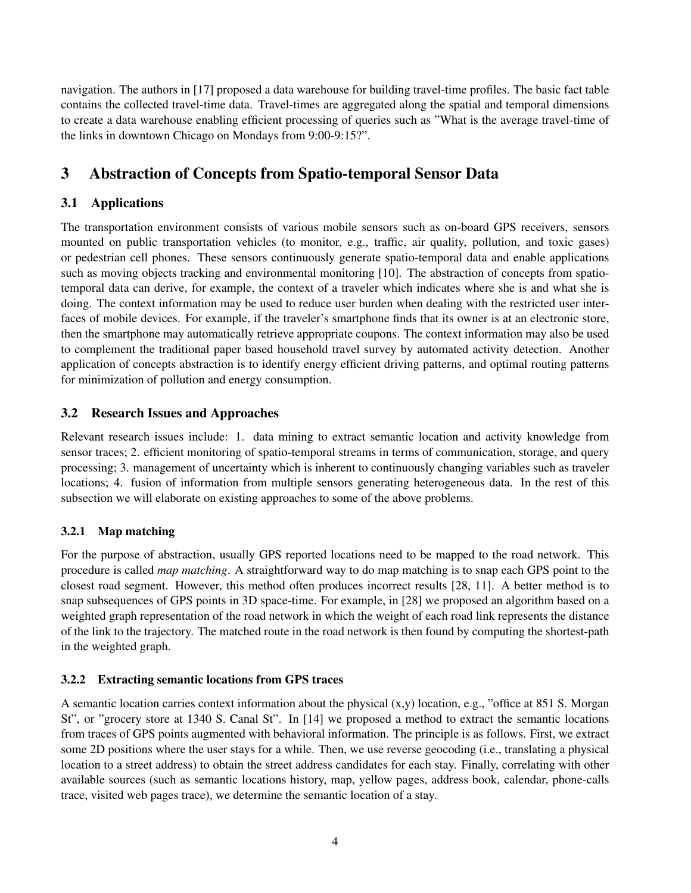navigation. The authors in [17] proposed a data warehouse for building travel-time profiles. The basic fact table contains the collected travel-time data. Travel-times are aggregated along the spatial and temporal dimensions to create a data warehouse enabling efficient processing of queries such as "What is the average travel-time of the links in downtown Chicago on Mondays from 9:00-9:15?".

# 3 Abstraction of Concepts from Spatio-temporal Sensor Data

### 3.1 Applications

The transportation environment consists of various mobile sensors such as on-board GPS receivers, sensors mounted on public transportation vehicles (to monitor, e.g., traffic, air quality, pollution, and toxic gases) or pedestrian cell phones. These sensors continuously generate spatio-temporal data and enable applications such as moving objects tracking and environmental monitoring [10]. The abstraction of concepts from spatiotemporal data can derive, for example, the context of a traveler which indicates where she is and what she is doing. The context information may be used to reduce user burden when dealing with the restricted user interfaces of mobile devices. For example, if the traveler's smartphone finds that its owner is at an electronic store, then the smartphone may automatically retrieve appropriate coupons. The context information may also be used to complement the traditional paper based household travel survey by automated activity detection. Another application of concepts abstraction is to identify energy efficient driving patterns, and optimal routing patterns for minimization of pollution and energy consumption.

### 3.2 Research Issues and Approaches

Relevant research issues include: 1. data mining to extract semantic location and activity knowledge from sensor traces; 2. efficient monitoring of spatio-temporal streams in terms of communication, storage, and query processing; 3. management of uncertainty which is inherent to continuously changing variables such as traveler locations; 4. fusion of information from multiple sensors generating heterogeneous data. In the rest of this subsection we will elaborate on existing approaches to some of the above problems.

### 3.2.1 Map matching

For the purpose of abstraction, usually GPS reported locations need to be mapped to the road network. This procedure is called *map matching*. A straightforward way to do map matching is to snap each GPS point to the closest road segment. However, this method often produces incorrect results [28, 11]. A better method is to snap subsequences of GPS points in 3D space-time. For example, in [28] we proposed an algorithm based on a weighted graph representation of the road network in which the weight of each road link represents the distance of the link to the trajectory. The matched route in the road network is then found by computing the shortest-path in the weighted graph.

### 3.2.2 Extracting semantic locations from GPS traces

A semantic location carries context information about the physical  $(x,y)$  location, e.g., "office at 851 S. Morgan St", or "grocery store at 1340 S. Canal St". In [14] we proposed a method to extract the semantic locations from traces of GPS points augmented with behavioral information. The principle is as follows. First, we extract some 2D positions where the user stays for a while. Then, we use reverse geocoding (i.e., translating a physical location to a street address) to obtain the street address candidates for each stay. Finally, correlating with other available sources (such as semantic locations history, map, yellow pages, address book, calendar, phone-calls trace, visited web pages trace), we determine the semantic location of a stay.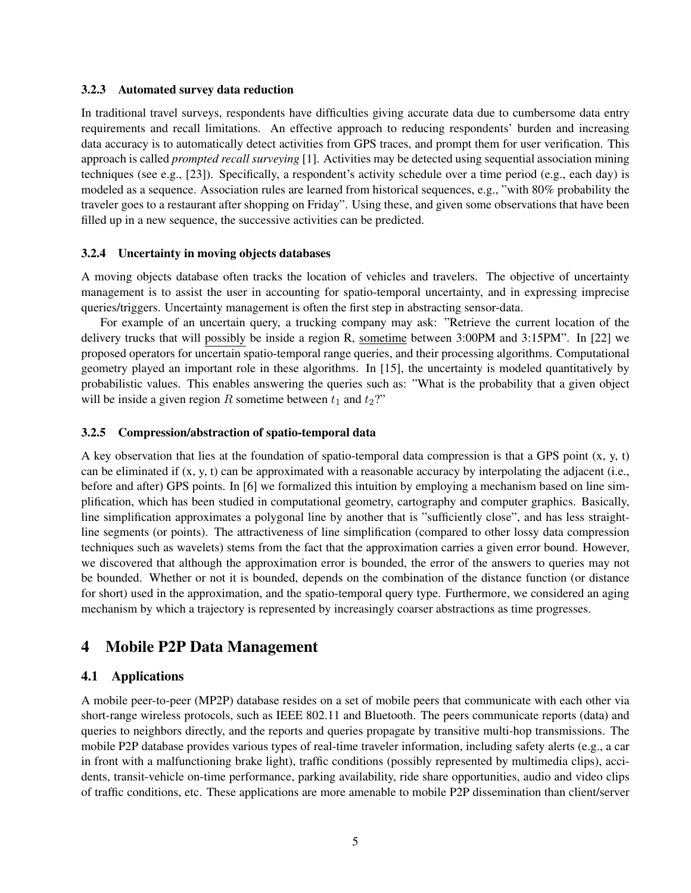#### 3.2.3 Automated survey data reduction

In traditional travel surveys, respondents have difficulties giving accurate data due to cumbersome data entry requirements and recall limitations. An effective approach to reducing respondents' burden and increasing data accuracy is to automatically detect activities from GPS traces, and prompt them for user verification. This approach is called *prompted recall surveying* [1]. Activities may be detected using sequential association mining techniques (see e.g., [23]). Specifically, a respondent's activity schedule over a time period (e.g., each day) is modeled as a sequence. Association rules are learned from historical sequences, e.g., "with 80% probability the traveler goes to a restaurant after shopping on Friday". Using these, and given some observations that have been filled up in a new sequence, the successive activities can be predicted.

#### 3.2.4 Uncertainty in moving objects databases

A moving objects database often tracks the location of vehicles and travelers. The objective of uncertainty management is to assist the user in accounting for spatio-temporal uncertainty, and in expressing imprecise queries/triggers. Uncertainty management is often the first step in abstracting sensor-data.

For example of an uncertain query, a trucking company may ask: "Retrieve the current location of the delivery trucks that will possibly be inside a region R, sometime between 3:00PM and 3:15PM". In [22] we proposed operators for uncertain spatio-temporal range queries, and their processing algorithms. Computational geometry played an important role in these algorithms. In [15], the uncertainty is modeled quantitatively by probabilistic values. This enables answering the queries such as: "What is the probability that a given object will be inside a given region *R* sometime between  $t_1$  and  $t_2$ ?"

#### 3.2.5 Compression/abstraction of spatio-temporal data

A key observation that lies at the foundation of spatio-temporal data compression is that a GPS point  $(x, y, t)$ can be eliminated if (x, y, t) can be approximated with a reasonable accuracy by interpolating the adjacent (i.e., before and after) GPS points. In [6] we formalized this intuition by employing a mechanism based on line simplification, which has been studied in computational geometry, cartography and computer graphics. Basically, line simplification approximates a polygonal line by another that is "sufficiently close", and has less straightline segments (or points). The attractiveness of line simplification (compared to other lossy data compression techniques such as wavelets) stems from the fact that the approximation carries a given error bound. However, we discovered that although the approximation error is bounded, the error of the answers to queries may not be bounded. Whether or not it is bounded, depends on the combination of the distance function (or distance for short) used in the approximation, and the spatio-temporal query type. Furthermore, we considered an aging mechanism by which a trajectory is represented by increasingly coarser abstractions as time progresses.

## 4 Mobile P2P Data Management

### 4.1 Applications

A mobile peer-to-peer (MP2P) database resides on a set of mobile peers that communicate with each other via short-range wireless protocols, such as IEEE 802.11 and Bluetooth. The peers communicate reports (data) and queries to neighbors directly, and the reports and queries propagate by transitive multi-hop transmissions. The mobile P2P database provides various types of real-time traveler information, including safety alerts (e.g., a car in front with a malfunctioning brake light), traffic conditions (possibly represented by multimedia clips), accidents, transit-vehicle on-time performance, parking availability, ride share opportunities, audio and video clips of traffic conditions, etc. These applications are more amenable to mobile P2P dissemination than client/server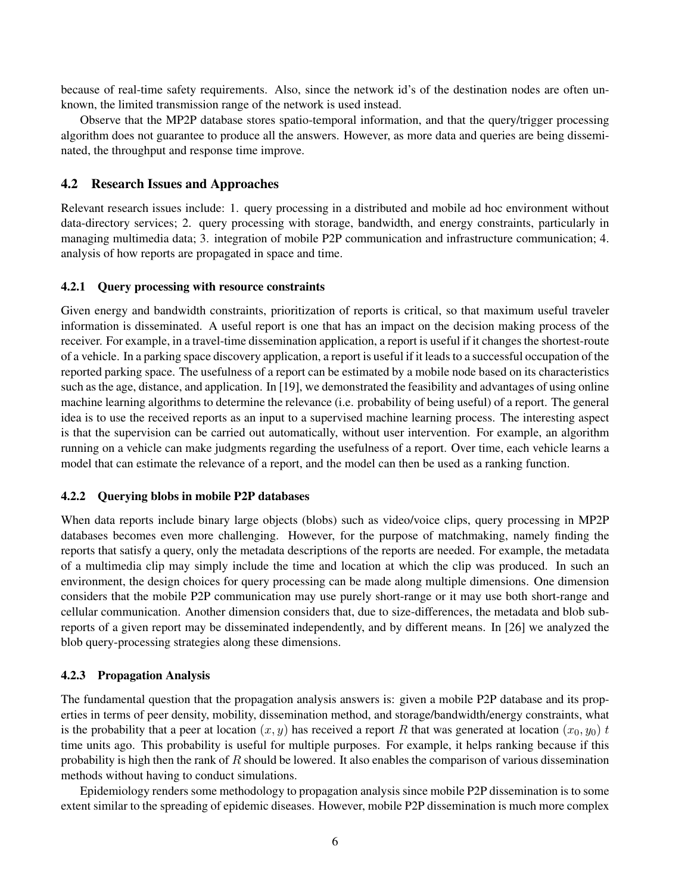because of real-time safety requirements. Also, since the network id's of the destination nodes are often unknown, the limited transmission range of the network is used instead.

Observe that the MP2P database stores spatio-temporal information, and that the query/trigger processing algorithm does not guarantee to produce all the answers. However, as more data and queries are being disseminated, the throughput and response time improve.

### 4.2 Research Issues and Approaches

Relevant research issues include: 1. query processing in a distributed and mobile ad hoc environment without data-directory services; 2. query processing with storage, bandwidth, and energy constraints, particularly in managing multimedia data; 3. integration of mobile P2P communication and infrastructure communication; 4. analysis of how reports are propagated in space and time.

#### 4.2.1 Query processing with resource constraints

Given energy and bandwidth constraints, prioritization of reports is critical, so that maximum useful traveler information is disseminated. A useful report is one that has an impact on the decision making process of the receiver. For example, in a travel-time dissemination application, a report is useful if it changes the shortest-route of a vehicle. In a parking space discovery application, a report is useful if it leads to a successful occupation of the reported parking space. The usefulness of a report can be estimated by a mobile node based on its characteristics such as the age, distance, and application. In [19], we demonstrated the feasibility and advantages of using online machine learning algorithms to determine the relevance (i.e. probability of being useful) of a report. The general idea is to use the received reports as an input to a supervised machine learning process. The interesting aspect is that the supervision can be carried out automatically, without user intervention. For example, an algorithm running on a vehicle can make judgments regarding the usefulness of a report. Over time, each vehicle learns a model that can estimate the relevance of a report, and the model can then be used as a ranking function.

#### 4.2.2 Querying blobs in mobile P2P databases

When data reports include binary large objects (blobs) such as video/voice clips, query processing in MP2P databases becomes even more challenging. However, for the purpose of matchmaking, namely finding the reports that satisfy a query, only the metadata descriptions of the reports are needed. For example, the metadata of a multimedia clip may simply include the time and location at which the clip was produced. In such an environment, the design choices for query processing can be made along multiple dimensions. One dimension considers that the mobile P2P communication may use purely short-range or it may use both short-range and cellular communication. Another dimension considers that, due to size-differences, the metadata and blob subreports of a given report may be disseminated independently, and by different means. In [26] we analyzed the blob query-processing strategies along these dimensions.

#### 4.2.3 Propagation Analysis

The fundamental question that the propagation analysis answers is: given a mobile P2P database and its properties in terms of peer density, mobility, dissemination method, and storage/bandwidth/energy constraints, what is the probability that a peer at location  $(x, y)$  has received a report *R* that was generated at location  $(x_0, y_0)$  *t* time units ago. This probability is useful for multiple purposes. For example, it helps ranking because if this probability is high then the rank of *R* should be lowered. It also enables the comparison of various dissemination methods without having to conduct simulations.

Epidemiology renders some methodology to propagation analysis since mobile P2P dissemination is to some extent similar to the spreading of epidemic diseases. However, mobile P2P dissemination is much more complex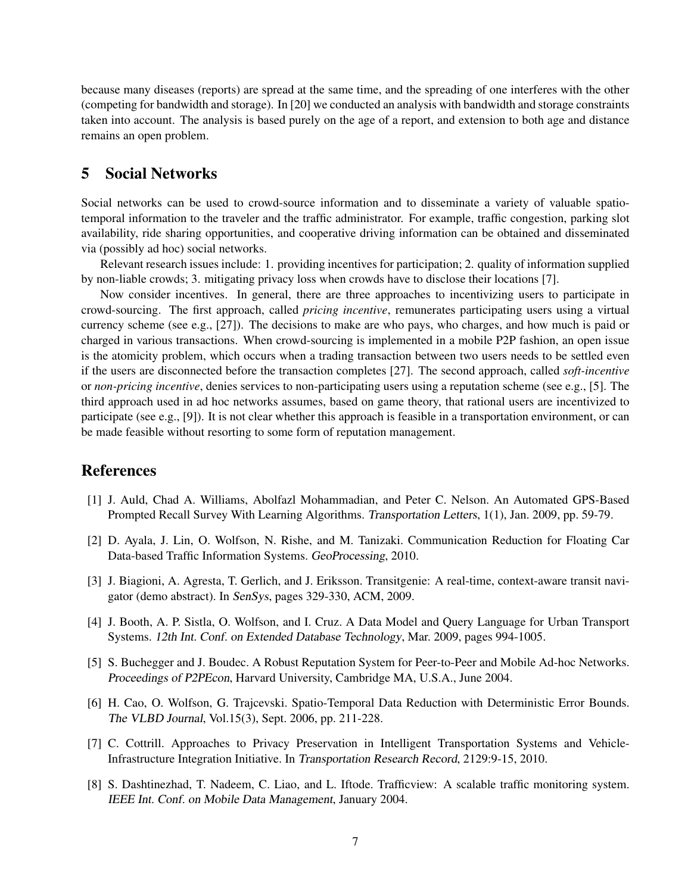because many diseases (reports) are spread at the same time, and the spreading of one interferes with the other (competing for bandwidth and storage). In [20] we conducted an analysis with bandwidth and storage constraints taken into account. The analysis is based purely on the age of a report, and extension to both age and distance remains an open problem.

## 5 Social Networks

Social networks can be used to crowd-source information and to disseminate a variety of valuable spatiotemporal information to the traveler and the traffic administrator. For example, traffic congestion, parking slot availability, ride sharing opportunities, and cooperative driving information can be obtained and disseminated via (possibly ad hoc) social networks.

Relevant research issues include: 1. providing incentives for participation; 2. quality of information supplied by non-liable crowds; 3. mitigating privacy loss when crowds have to disclose their locations [7].

Now consider incentives. In general, there are three approaches to incentivizing users to participate in crowd-sourcing. The first approach, called *pricing incentive*, remunerates participating users using a virtual currency scheme (see e.g., [27]). The decisions to make are who pays, who charges, and how much is paid or charged in various transactions. When crowd-sourcing is implemented in a mobile P2P fashion, an open issue is the atomicity problem, which occurs when a trading transaction between two users needs to be settled even if the users are disconnected before the transaction completes [27]. The second approach, called *soft-incentive* or *non-pricing incentive*, denies services to non-participating users using a reputation scheme (see e.g., [5]. The third approach used in ad hoc networks assumes, based on game theory, that rational users are incentivized to participate (see e.g., [9]). It is not clear whether this approach is feasible in a transportation environment, or can be made feasible without resorting to some form of reputation management.

### References

- [1] J. Auld, Chad A. Williams, Abolfazl Mohammadian, and Peter C. Nelson. An Automated GPS-Based Prompted Recall Survey With Learning Algorithms. Transportation Letters, 1(1), Jan. 2009, pp. 59-79.
- [2] D. Ayala, J. Lin, O. Wolfson, N. Rishe, and M. Tanizaki. Communication Reduction for Floating Car Data-based Traffic Information Systems. GeoProcessing, 2010.
- [3] J. Biagioni, A. Agresta, T. Gerlich, and J. Eriksson. Transitgenie: A real-time, context-aware transit navigator (demo abstract). In SenSys, pages 329-330, ACM, 2009.
- [4] J. Booth, A. P. Sistla, O. Wolfson, and I. Cruz. A Data Model and Query Language for Urban Transport Systems. 12th Int. Conf. on Extended Database Technology, Mar. 2009, pages 994-1005.
- [5] S. Buchegger and J. Boudec. A Robust Reputation System for Peer-to-Peer and Mobile Ad-hoc Networks. Proceedings of P2PEcon, Harvard University, Cambridge MA, U.S.A., June 2004.
- [6] H. Cao, O. Wolfson, G. Trajcevski. Spatio-Temporal Data Reduction with Deterministic Error Bounds. The VLBD Journal, Vol.15(3), Sept. 2006, pp. 211-228.
- [7] C. Cottrill. Approaches to Privacy Preservation in Intelligent Transportation Systems and Vehicle-Infrastructure Integration Initiative. In Transportation Research Record, 2129:9-15, 2010.
- [8] S. Dashtinezhad, T. Nadeem, C. Liao, and L. Iftode. Trafficview: A scalable traffic monitoring system. IEEE Int. Conf. on Mobile Data Management, January 2004.